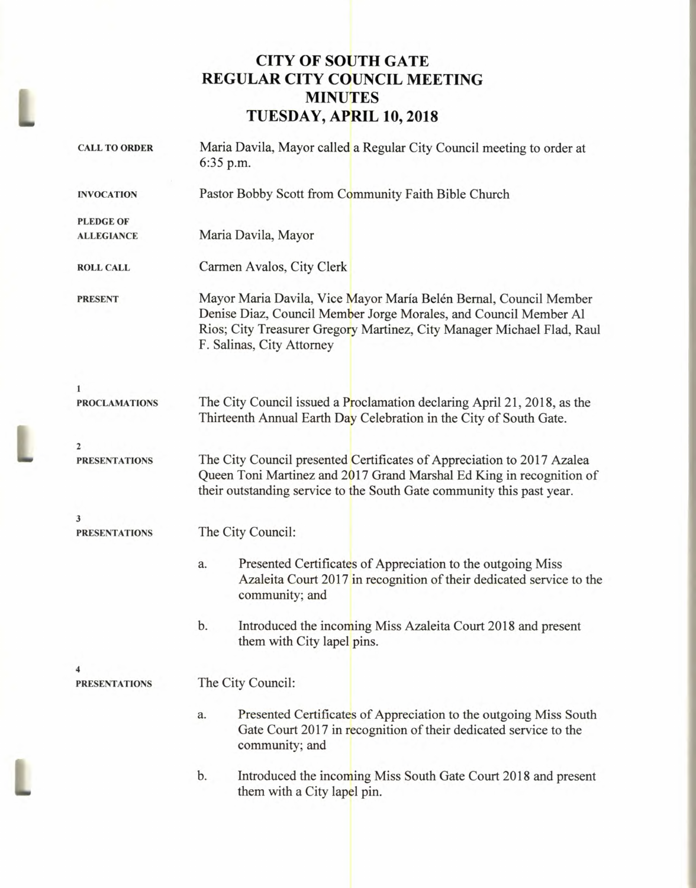# **CITY OF SOUTH GATE REGULAR CITY COUNCIL MEETING MINUTES TUESDAY, APRIL 10, 2018**

| <b>CALL TO ORDER</b>      | Maria Davila, Mayor called a Regular City Council meeting to order at<br>6:35 p.m.                                                                                                                                                           |
|---------------------------|----------------------------------------------------------------------------------------------------------------------------------------------------------------------------------------------------------------------------------------------|
| <b>INVOCATION</b>         | Pastor Bobby Scott from Community Faith Bible Church                                                                                                                                                                                         |
| <b>PLEDGE OF</b>          |                                                                                                                                                                                                                                              |
| <b>ALLEGIANCE</b>         | Maria Davila, Mayor                                                                                                                                                                                                                          |
| <b>ROLL CALL</b>          | Carmen Avalos, City Clerk                                                                                                                                                                                                                    |
| <b>PRESENT</b>            | Mayor Maria Davila, Vice Mayor María Belén Bernal, Council Member<br>Denise Diaz, Council Member Jorge Morales, and Council Member Al<br>Rios; City Treasurer Gregory Martinez, City Manager Michael Flad, Raul<br>F. Salinas, City Attorney |
| $\mathbf{1}$              |                                                                                                                                                                                                                                              |
| <b>PROCLAMATIONS</b>      | The City Council issued a Proclamation declaring April 21, 2018, as the<br>Thirteenth Annual Earth Day Celebration in the City of South Gate.                                                                                                |
| $\mathbf{2}$              |                                                                                                                                                                                                                                              |
| <b>PRESENTATIONS</b>      | The City Council presented Certificates of Appreciation to 2017 Azalea<br>Queen Toni Martinez and 2017 Grand Marshal Ed King in recognition of<br>their outstanding service to the South Gate community this past year.                      |
| 3<br><b>PRESENTATIONS</b> | The City Council:                                                                                                                                                                                                                            |
|                           |                                                                                                                                                                                                                                              |
|                           | Presented Certificates of Appreciation to the outgoing Miss<br>a.<br>Azaleita Court 2017 in recognition of their dedicated service to the<br>community; and                                                                                  |
|                           | b.<br>Introduced the incoming Miss Azaleita Court 2018 and present<br>them with City lapel pins.                                                                                                                                             |
|                           |                                                                                                                                                                                                                                              |
| <b>PRESENTATIONS</b>      | The City Council:                                                                                                                                                                                                                            |
|                           | Presented Certificates of Appreciation to the outgoing Miss South<br>a.<br>Gate Court 2017 in recognition of their dedicated service to the<br>community; and                                                                                |
|                           | b.<br>Introduced the incoming Miss South Gate Court 2018 and present<br>them with a City lapel pin.                                                                                                                                          |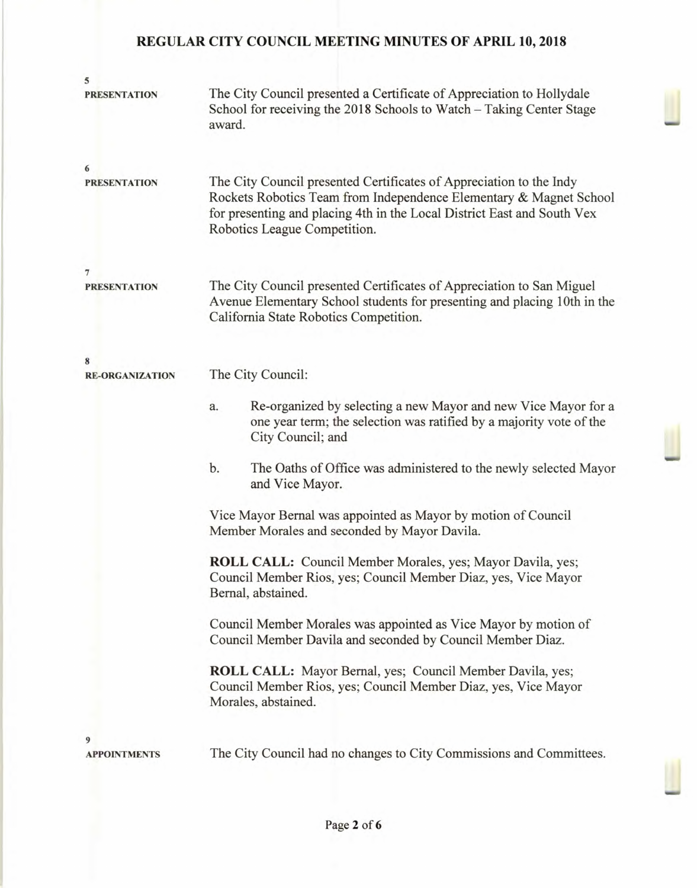| 5                      |                                                                                                                                                                                                                                                      |
|------------------------|------------------------------------------------------------------------------------------------------------------------------------------------------------------------------------------------------------------------------------------------------|
| <b>PRESENTATION</b>    | The City Council presented a Certificate of Appreciation to Hollydale<br>School for receiving the 2018 Schools to Watch - Taking Center Stage<br>award.                                                                                              |
| 6                      |                                                                                                                                                                                                                                                      |
| <b>PRESENTATION</b>    | The City Council presented Certificates of Appreciation to the Indy<br>Rockets Robotics Team from Independence Elementary & Magnet School<br>for presenting and placing 4th in the Local District East and South Vex<br>Robotics League Competition. |
| 7                      |                                                                                                                                                                                                                                                      |
| <b>PRESENTATION</b>    | The City Council presented Certificates of Appreciation to San Miguel<br>Avenue Elementary School students for presenting and placing 10th in the<br>California State Robotics Competition.                                                          |
| 8                      |                                                                                                                                                                                                                                                      |
| <b>RE-ORGANIZATION</b> | The City Council:                                                                                                                                                                                                                                    |
|                        | Re-organized by selecting a new Mayor and new Vice Mayor for a<br>a.<br>one year term; the selection was ratified by a majority vote of the<br>City Council; and                                                                                     |
|                        | b.<br>The Oaths of Office was administered to the newly selected Mayor<br>and Vice Mayor.                                                                                                                                                            |
|                        | Vice Mayor Bernal was appointed as Mayor by motion of Council<br>Member Morales and seconded by Mayor Davila.                                                                                                                                        |
|                        | ROLL CALL: Council Member Morales, yes; Mayor Davila, yes;<br>Council Member Rios, yes; Council Member Diaz, yes, Vice Mayor<br>Bernal, abstained.                                                                                                   |
|                        | Council Member Morales was appointed as Vice Mayor by motion of<br>Council Member Davila and seconded by Council Member Diaz.                                                                                                                        |
|                        | <b>ROLL CALL:</b> Mayor Bernal, yes; Council Member Davila, yes;<br>Council Member Rios, yes; Council Member Diaz, yes, Vice Mayor<br>Morales, abstained.                                                                                            |
| 9                      |                                                                                                                                                                                                                                                      |
| <b>APPOINTMENTS</b>    | The City Council had no changes to City Commissions and Committees.                                                                                                                                                                                  |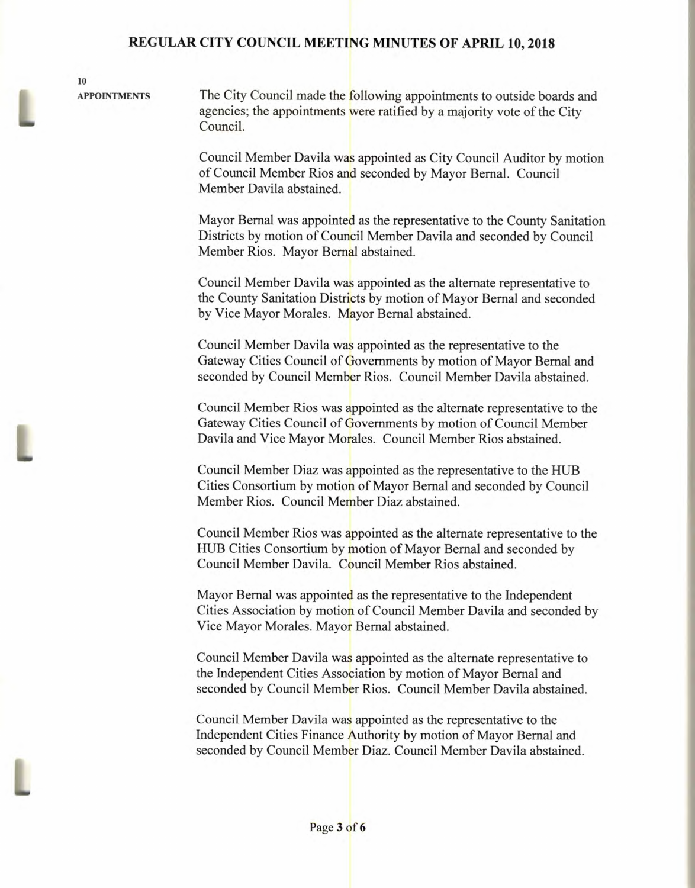**10** 

**APPOINTMENTS** The City Council made the following appointments to outside boards and agencies; the appointments were ratified by a majority vote of the City Council.

> Council Member Davila was appointed as City Council Auditor by motion of Council Member Rios and seconded by Mayor Bernal. Council Member Davila abstained.

> Mayor Bernal was appointed as the representative to the County Sanitation Districts by motion of Council Member Davila and seconded by Council Member Rios. Mayor Bernal abstained.

Council Member Davila was appointed as the alternate representative to the County Sanitation Districts by motion of Mayor Bernal and seconded by Vice Mayor Morales. Mayor Bernal abstained.

Council Member Davila was appointed as the representative to the Gateway Cities Council of Governments by motion of Mayor Bernal and seconded by Council Member Rios. Council Member Davila abstained.

Council Member Rios was appointed as the alternate representative to the Gateway Cities Council of Governments by motion of Council Member Davila and Vice Mayor Morales. Council Member Rios abstained.

Council Member Diaz was appointed as the representative to the HUB Cities Consortium by motion of Mayor Bernal and seconded by Council Member Rios. Council Member Diaz abstained.

Council Member Rios was appointed as the alternate representative to the HUB Cities Consortium by motion of Mayor Bernal and seconded by Council Member Davila. Council Member Rios abstained.

Mayor Bernal was appointed as the representative to the Independent Cities Association by motion of Council Member Davila and seconded by Vice Mayor Morales. Mayor Bernal abstained.

Council Member Davila was appointed as the alternate representative to the Independent Cities Association by motion of Mayor Bernal and seconded by Council Member Rios. Council Member Davila abstained.

Council Member Davila was appointed as the representative to the Independent Cities Finance Authority by motion of Mayor Bernal and seconded by Council Member Diaz. Council Member Davila abstained.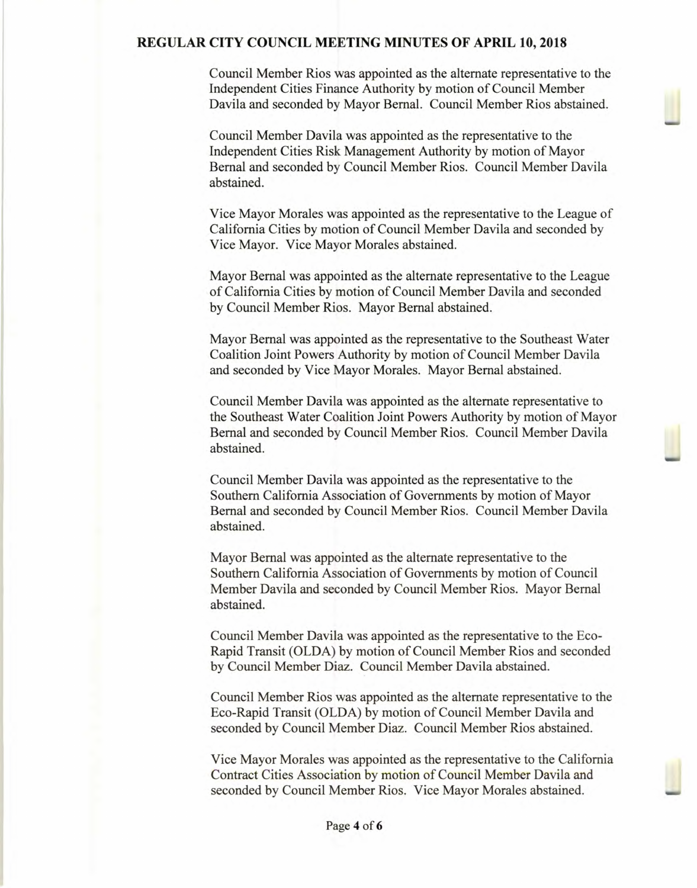Council Member Rios was appointed as the alternate representative to the Independent Cities Finance Authority by motion of Council Member Davila and seconded by Mayor Bernal. Council Member Rios abstained.

Council Member Davila was appointed as the representative to the Independent Cities Risk Management Authority by motion of Mayor Bernal and seconded by Council Member Rios. Council Member Davila abstained.

Vice Mayor Morales was appointed as the representative to the League of California Cities by motion of Council Member Davila and seconded by Vice Mayor. Vice Mayor Morales abstained.

Mayor Bernal was appointed as the alternate representative to the League of California Cities by motion of Council Member Davila and seconded by Council Member Rios. Mayor Bernal abstained.

Mayor Bernal was appointed as the representative to the Southeast Water Coalition Joint Powers Authority by motion of Council Member Davila and seconded by Vice Mayor Morales. Mayor Bernal abstained.

Council Member Davila was appointed as the alternate representative to the Southeast Water Coalition Joint Powers Authority by motion of Mayor Bernal and seconded by Council Member Rios. Council Member Davila abstained.

Council Member Davila was appointed as the representative to the Southern California Association of Governments by motion of Mayor Bernal and seconded by Council Member Rios. Council Member Davila abstained.

Mayor Bernal was appointed as the alternate representative to the Southern California Association of Governments by motion of Council Member Davila and seconded by Council Member Rios. Mayor Bernal abstained.

Council Member Davila was appointed as the representative to the Eco-Rapid Transit (OLDA) by motion of Council Member Rios and seconded by Council Member Diaz. Council Member Davila abstained.

Council Member Rios was appointed as the alternate representative to the Eco-Rapid Transit (OLDA) by motion of Council Member Davila and seconded by Council Member Diaz. Council Member Rios abstained.

Vice Mayor Morales was appointed as the representative to the California Contract Cities Association by motion of Council Member Davila and seconded by Council Member Rios. Vice Mayor Morales abstained.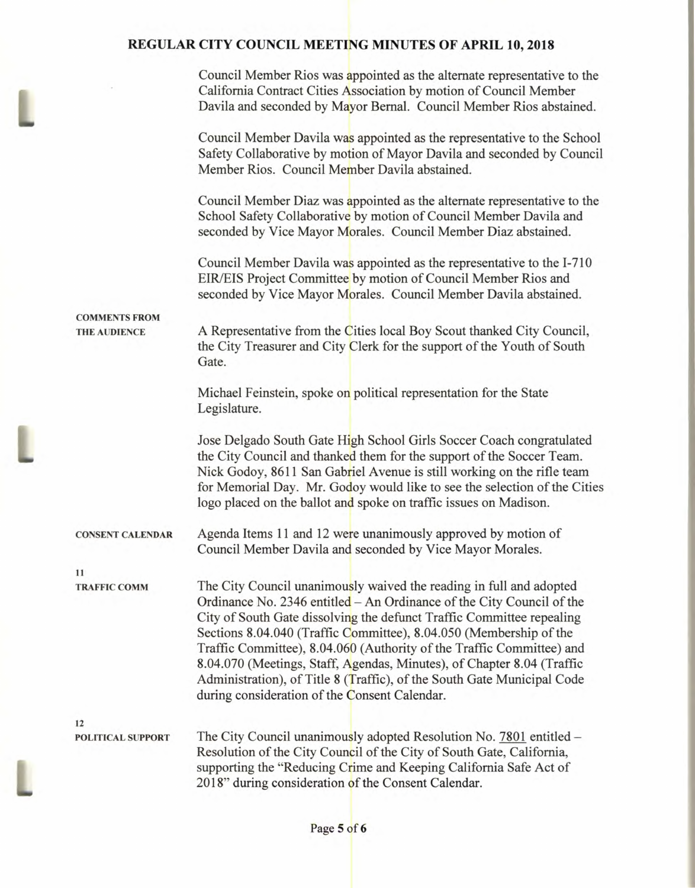L

L

|                                             | Council Member Rios was appointed as the alternate representative to the<br>California Contract Cities Association by motion of Council Member<br>Davila and seconded by Mayor Bernal. Council Member Rios abstained.                                                                                                                                                                                                                                                                                                                                                      |
|---------------------------------------------|----------------------------------------------------------------------------------------------------------------------------------------------------------------------------------------------------------------------------------------------------------------------------------------------------------------------------------------------------------------------------------------------------------------------------------------------------------------------------------------------------------------------------------------------------------------------------|
|                                             | Council Member Davila was appointed as the representative to the School<br>Safety Collaborative by motion of Mayor Davila and seconded by Council<br>Member Rios. Council Member Davila abstained.                                                                                                                                                                                                                                                                                                                                                                         |
|                                             | Council Member Diaz was appointed as the alternate representative to the<br>School Safety Collaborative by motion of Council Member Davila and<br>seconded by Vice Mayor Morales. Council Member Diaz abstained.                                                                                                                                                                                                                                                                                                                                                           |
|                                             | Council Member Davila was appointed as the representative to the I-710<br>EIR/EIS Project Committee by motion of Council Member Rios and<br>seconded by Vice Mayor Morales. Council Member Davila abstained.                                                                                                                                                                                                                                                                                                                                                               |
| <b>COMMENTS FROM</b><br><b>THE AUDIENCE</b> | A Representative from the Cities local Boy Scout thanked City Council,<br>the City Treasurer and City Clerk for the support of the Youth of South<br>Gate.                                                                                                                                                                                                                                                                                                                                                                                                                 |
|                                             | Michael Feinstein, spoke on political representation for the State<br>Legislature.                                                                                                                                                                                                                                                                                                                                                                                                                                                                                         |
|                                             | Jose Delgado South Gate High School Girls Soccer Coach congratulated<br>the City Council and thanked them for the support of the Soccer Team.<br>Nick Godoy, 8611 San Gabriel Avenue is still working on the rifle team<br>for Memorial Day. Mr. Godoy would like to see the selection of the Cities<br>logo placed on the ballot and spoke on traffic issues on Madison.                                                                                                                                                                                                  |
| <b>CONSENT CALENDAR</b>                     | Agenda Items 11 and 12 were unanimously approved by motion of<br>Council Member Davila and seconded by Vice Mayor Morales.                                                                                                                                                                                                                                                                                                                                                                                                                                                 |
| 11<br><b>TRAFFIC COMM</b>                   | The City Council unanimously waived the reading in full and adopted<br>Ordinance No. 2346 entitled – An Ordinance of the City Council of the<br>City of South Gate dissolving the defunct Traffic Committee repealing<br>Sections 8.04.040 (Traffic Committee), 8.04.050 (Membership of the<br>Traffic Committee), 8.04.060 (Authority of the Traffic Committee) and<br>8.04.070 (Meetings, Staff, Agendas, Minutes), of Chapter 8.04 (Traffic<br>Administration), of Title 8 (Traffic), of the South Gate Municipal Code<br>during consideration of the Consent Calendar. |
| 12<br><b>POLITICAL SUPPORT</b>              | The City Council unanimously adopted Resolution No. 7801 entitled -<br>Resolution of the City Council of the City of South Gate, California,<br>supporting the "Reducing Crime and Keeping California Safe Act of<br>2018" during consideration of the Consent Calendar.                                                                                                                                                                                                                                                                                                   |